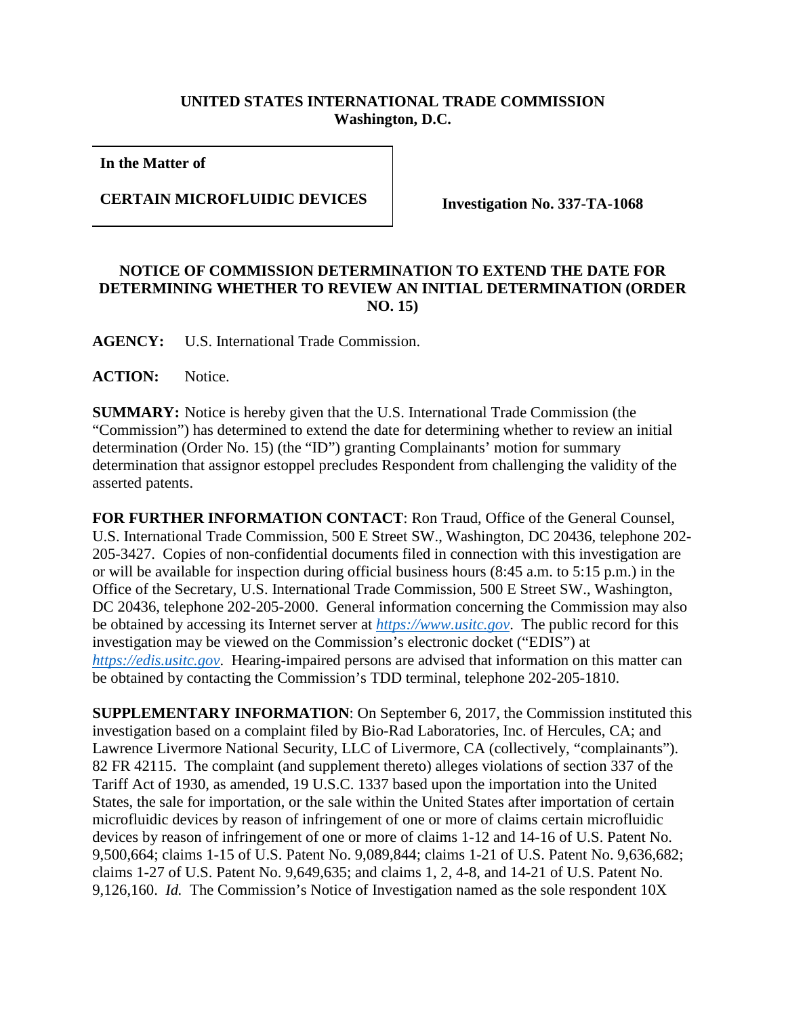## **UNITED STATES INTERNATIONAL TRADE COMMISSION Washington, D.C.**

**In the Matter of**

## **CERTAIN MICROFLUIDIC DEVICES Investigation No. 337-TA-1068**

## **NOTICE OF COMMISSION DETERMINATION TO EXTEND THE DATE FOR DETERMINING WHETHER TO REVIEW AN INITIAL DETERMINATION (ORDER NO. 15)**

**AGENCY:** U.S. International Trade Commission.

**ACTION:** Notice.

**SUMMARY:** Notice is hereby given that the U.S. International Trade Commission (the "Commission") has determined to extend the date for determining whether to review an initial determination (Order No. 15) (the "ID") granting Complainants' motion for summary determination that assignor estoppel precludes Respondent from challenging the validity of the asserted patents.

**FOR FURTHER INFORMATION CONTACT**: Ron Traud, Office of the General Counsel, U.S. International Trade Commission, 500 E Street SW., Washington, DC 20436, telephone 202- 205-3427. Copies of non-confidential documents filed in connection with this investigation are or will be available for inspection during official business hours (8:45 a.m. to 5:15 p.m.) in the Office of the Secretary, U.S. International Trade Commission, 500 E Street SW., Washington, DC 20436, telephone 202-205-2000. General information concerning the Commission may also be obtained by accessing its Internet server at *[https://www.usitc.gov](https://www.usitc.gov/)*. The public record for this investigation may be viewed on the Commission's electronic docket ("EDIS") at *[https://edis.usitc.gov](https://edis.usitc.gov/)*. Hearing-impaired persons are advised that information on this matter can be obtained by contacting the Commission's TDD terminal, telephone 202-205-1810.

**SUPPLEMENTARY INFORMATION**: On September 6, 2017, the Commission instituted this investigation based on a complaint filed by Bio-Rad Laboratories, Inc. of Hercules, CA; and Lawrence Livermore National Security, LLC of Livermore, CA (collectively, "complainants"). 82 FR 42115. The complaint (and supplement thereto) alleges violations of section 337 of the Tariff Act of 1930, as amended, 19 U.S.C. 1337 based upon the importation into the United States, the sale for importation, or the sale within the United States after importation of certain microfluidic devices by reason of infringement of one or more of claims certain microfluidic devices by reason of infringement of one or more of claims 1-12 and 14-16 of U.S. Patent No. 9,500,664; claims 1-15 of U.S. Patent No. 9,089,844; claims 1-21 of U.S. Patent No. 9,636,682; claims 1-27 of U.S. Patent No. 9,649,635; and claims 1, 2, 4-8, and 14-21 of U.S. Patent No. 9,126,160. *Id.* The Commission's Notice of Investigation named as the sole respondent 10X